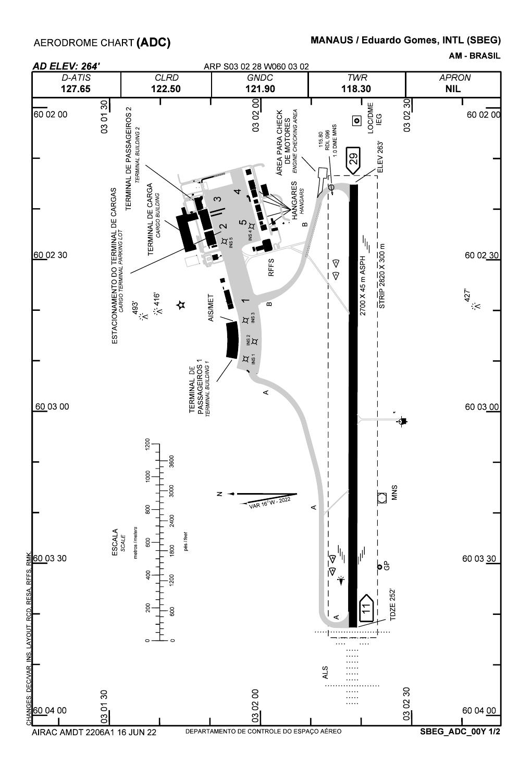## MANAUS / Eduardo Gomes, INTL (SBEG)

AM - BRASIL